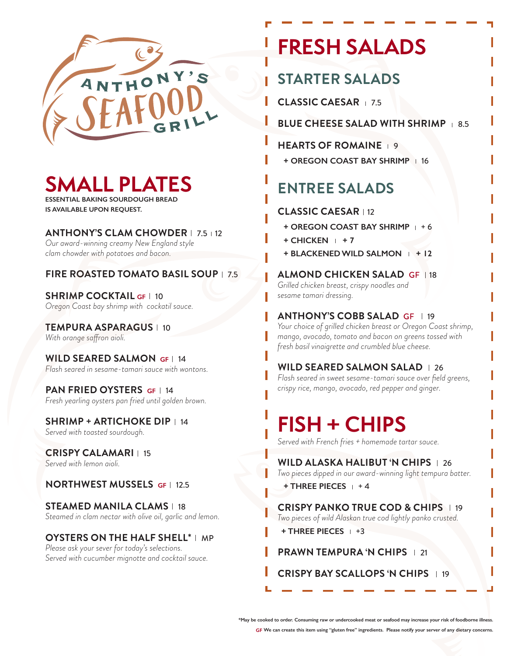

## **SMALL PLATES**

**ESSENTIAL BAKING SOURDOUGH BREAD IS AVAILABLE UPON REQUEST.**

**ANTHONY'S CLAM CHOWDER** | 7.5 | 12

*Our award-winning creamy New England style clam chowder with potatoes and bacon.* 

### **FIRE ROASTED TOMATO BASIL SOUP** | 7.5

**SHRIMP COCKTAIL GF | 10** *Oregon Coast bay shrimp with cockatil sauce.*

**TEMPURA ASPARAGUS** | 10 *With orange saffron aioli.*

**WILD SEARED SALMON GF** 14*Flash seared in sesame-tamari sauce with wontons.*

**PAN FRIED OYSTERS GF | 14** *Fresh yearling oysters pan fried until golden brown.*

**SHRIMP + ARTICHOKE DIP** | 14 *Served with toasted sourdough.*

**CRISPY CALAMARI** 15 *Served with lemon aioli.*

### **NORTHWEST MUSSELS GF** 12.5

**STEAMED MANILA CLAMS** | 18 *Steamed in clam nectar with olive oil, garlic and lemon.*

#### **OYSTERS ON THE HALF SHELL\*** I MP

*Please ask your sever for today's selections. Served with cucumber mignotte and cocktail sauce.* 

## **FRESH SALADS**

### **STARTER SALADS**

**CLASSIC CAESAR** 7.5

**BLUE CHEESE SALAD WITH SHRIMP 1 8.5** 

**HEARTS OF ROMAINE 19** 

**+ OREGON COAST BAY SHRIMP** | 16

### **ENTREE SALADS**

### **CLASSIC CAESAR | 12**

- **+ OREGON COAST BAY SHRIMP**  $+6$
- $+$  CHICKEN  $+7$
- **+ BLACKENED WILD SALMON + 12**

**ALMOND CHICKEN SALAD GF 18** *Grilled chicken breast, crispy noodles and sesame tamari dressing.*

**ANTHONY'S COBB SALAD GF | 19** 

*Your choice of grilled chicken breast or Oregon Coast shrimp, mango, avocado, tomato and bacon on greens tossed with fresh basil vinaigrette and crumbled blue cheese.*

### **WILD SEARED SALMON SALAD** 1 26

*Flash seared in sweet sesame-tamari sauce over field greens, crispy rice, mango, avocado, red pepper and ginger.*

## **FISH + CHIPS**

*Served with French fries + homemade tartar sauce.*

**WILD ALASKA HALIBUT 'N CHIPS** | 26 *Two pieces dipped in our award-winning light tempura batter.* 

**+ THREE PIECES** + 4

**CRISPY PANKO TRUE COD & CHIPS** | 19 *Two pieces of wild Alaskan true cod lightly panko crusted.* 

**+ THREE PIECES** +3

### **PRAWN TEMPURA 'N CHIPS** | 21

**CRISPY BAY SCALLOPS 'N CHIPS** | 19

**\*May be cooked to order. Consuming raw or undercooked meat or seafood may increase your risk of foodborne illness.**

**GF We can create this item using "gluten free" ingredients. Please notify your server of any dietary concerns.**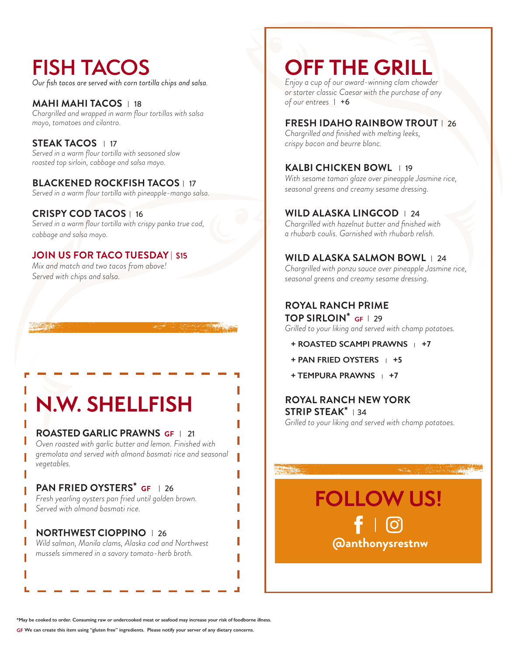## **FISH TACOS**

*Our fish tacos are served with corn tortilla chips and salsa.*

**MAHI MAHI TACOS** | 18 *Chargrilled and wrapped in warm flour tortillas with salsa mayo, tomatoes and cilantro.* 

**STEAK TACOS** 17 *Served in a warm flour tortilla with seasoned slow roasted top sirloin, cabbage and salsa mayo.*

#### **BLACKENED ROCKFISH TACOS** 1 17

*Served in a warm flour tortilla with pineapple-mango salsa.*

### **CRISPY COD TACOS** | 16

*Served in a warm flour tortilla with crispy panko true cod, cabbage and salsa mayo.* 

### **JOIN US FOR TACO TUESDAY** | \$1**5**

*Mix and match and two tacos from above! Served with chips and salsa.* 

**N.W. SHELLFISH**

### **ROASTED GARLIC PRAWNS GF | 21**

*Oven roasted with garlic butter and lemon. Finished with gremolata and served with almond basmati rice and seasonal vegetables.* 

### **PAN FRIED OYSTERS\* GF 126**

*Fresh yearling oysters pan fried until golden brown. Served with almond basmati rice.*

### **NORTHWEST CIOPPINO** | 26

*Wild salmon, Manila clams, Alaska cod and Northwest mussels simmered in a savory tomato-herb broth.* 

### **OFF THE GRILL**

*Enjoy a cup of our award-winning clam chowder or starter classic Caesar with the purchase of any*  of our entrees | +6

### **FRESH IDAHO RAINBOW TROUT** | 26

*Chargrilled and finished with melting leeks, crispy bacon and beurre blanc.* 

### **KALBI CHICKEN BOWL** | 19

*With sesame tamari glaze over pineapple Jasmine rice, seasonal greens and creamy sesame dressing.*

### **WILD ALASKA LINGCOD** | 24

*Chargrilled with hazelnut butter and finished with a rhubarb coulis. Garnished with rhubarb relish.*

### **WILD ALASKA SALMON BOWL** 1 24

*Chargrilled with ponzu sauce over pineapple Jasmine rice, seasonal greens and creamy sesame dressing.* 

### **ROYAL RANCH PRIME**

**TOP SIRLOIN\* GF** 29 *Grilled to your liking and served with champ potatoes.* 

- **+ ROASTED SCAMPI PRAWNS + +7**
- **+ PAN FRIED OYSTERS + +5**
- **+ TEMPURA PRAWNS + +7**

### **ROYAL RANCH NEW YORK STRIP STEAK\*** 134

*Grilled to your liking and served with champ potatoes.* 

**@anthonysrestnw FOLLOW US!**

**\*May be cooked to order. Consuming raw or undercooked meat or seafood may increase your risk of foodborne illness.**

**GF We can create this item using "gluten free" ingredients. Please notify your server of any dietary concerns.**